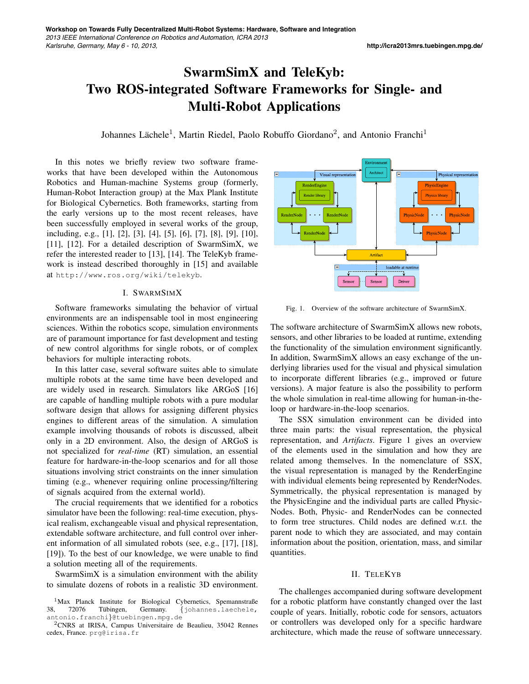## SwarmSimX and TeleKyb: Two ROS-integrated Software Frameworks for Single- and Multi-Robot Applications

Johannes Lächele<sup>1</sup>, Martin Riedel, Paolo Robuffo Giordano<sup>2</sup>, and Antonio Franchi<sup>1</sup>

In this notes we briefly review two software frameworks that have been developed within the Autonomous Robotics and Human-machine Systems group (formerly, Human-Robot Interaction group) at the Max Plank Institute for Biological Cybernetics. Both frameworks, starting from the early versions up to the most recent releases, have been successfully employed in several works of the group, including, e.g., [1], [2], [3], [4], [5], [6], [7], [8], [9], [10], [11], [12]. For a detailed description of SwarmSimX, we refer the interested reader to [13], [14]. The TeleKyb framework is instead described thoroughly in [15] and available at http://www.ros.org/wiki/telekyb.

## I. SWARMSIMX

Software frameworks simulating the behavior of virtual environments are an indispensable tool in most engineering sciences. Within the robotics scope, simulation environments are of paramount importance for fast development and testing of new control algorithms for single robots, or of complex behaviors for multiple interacting robots.

In this latter case, several software suites able to simulate multiple robots at the same time have been developed and are widely used in research. Simulators like ARGoS [16] are capable of handling multiple robots with a pure modular software design that allows for assigning different physics engines to different areas of the simulation. A simulation example involving thousands of robots is discussed, albeit only in a 2D environment. Also, the design of ARGoS is not specialized for *real-time* (RT) simulation, an essential feature for hardware-in-the-loop scenarios and for all those situations involving strict constraints on the inner simulation timing (e.g., whenever requiring online processing/filtering of signals acquired from the external world).

The crucial requirements that we identified for a robotics simulator have been the following: real-time execution, physical realism, exchangeable visual and physical representation, extendable software architecture, and full control over inherent information of all simulated robots (see, e.g., [17], [18], [19]). To the best of our knowledge, we were unable to find a solution meeting all of the requirements.

SwarmSimX is a simulation environment with the ability to simulate dozens of robots in a realistic 3D environment.



Fig. 1. Overview of the software architecture of SwarmSimX.

The software architecture of SwarmSimX allows new robots, sensors, and other libraries to be loaded at runtime, extending the functionality of the simulation environment significantly. In addition, SwarmSimX allows an easy exchange of the underlying libraries used for the visual and physical simulation to incorporate different libraries (e.g., improved or future versions). A major feature is also the possibility to perform the whole simulation in real-time allowing for human-in-theloop or hardware-in-the-loop scenarios.

The SSX simulation environment can be divided into three main parts: the visual representation, the physical representation, and *Artifacts*. Figure 1 gives an overview of the elements used in the simulation and how they are related among themselves. In the nomenclature of SSX, the visual representation is managed by the RenderEngine with individual elements being represented by RenderNodes. Symmetrically, the physical representation is managed by the PhysicEngine and the individual parts are called Physic-Nodes. Both, Physic- and RenderNodes can be connected to form tree structures. Child nodes are defined w.r.t. the parent node to which they are associated, and may contain information about the position, orientation, mass, and similar quantities.

## II. TELEKYB

The challenges accompanied during software development for a robotic platform have constantly changed over the last couple of years. Initially, robotic code for sensors, actuators or controllers was developed only for a specific hardware architecture, which made the reuse of software unnecessary.

<sup>&</sup>lt;sup>1</sup>Max Planck Institute for Biological Cybernetics, Spemannstraße<br>
38, 72076 Tübingen, Germany. {johannes.laechele, {johannes.laechele, antonio.franchi}@tuebingen.mpg.de

<sup>&</sup>lt;sup>2</sup>CNRS at IRISA, Campus Universitaire de Beaulieu, 35042 Rennes cedex, France. prg@irisa.fr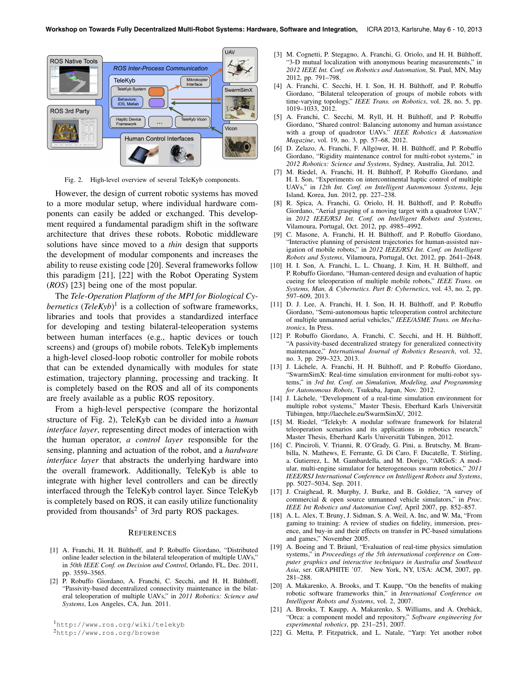

Fig. 2. High-level overview of several TeleKyb components.

However, the design of current robotic systems has moved to a more modular setup, where individual hardware components can easily be added or exchanged. This development required a fundamental paradigm shift in the software architecture that drives these robots. Robotic middleware solutions have since moved to a *thin* design that supports the development of modular components and increases the ability to reuse existing code [20]. Several frameworks follow this paradigm [21], [22] with the Robot Operating System (*ROS*) [23] being one of the most popular.

The *Tele-Operation Platform of the MPI for Biological Cybernetics* (*TeleKyb*) 1 is a collection of software frameworks, libraries and tools that provides a standardized interface for developing and testing bilateral-teleoperation systems between human interfaces (e.g., haptic devices or touch screens) and (groups of) mobile robots. TeleKyb implements a high-level closed-loop robotic controller for mobile robots that can be extended dynamically with modules for state estimation, trajectory planning, processing and tracking. It is completely based on the ROS and all of its components are freely available as a public ROS repository.

From a high-level perspective (compare the horizontal structure of Fig. 2), TeleKyb can be divided into a *human interface layer*, representing direct modes of interaction with the human operator, *a control layer* responsible for the sensing, planning and actuation of the robot, and a *hardware interface layer* that abstracts the underlying hardware into the overall framework. Additionally, TeleKyb is able to integrate with higher level controllers and can be directly interfaced through the TeleKyb control layer. Since TeleKyb is completely based on ROS, it can easily utilize functionality provided from thousands<sup>2</sup> of 3rd party ROS packages.

## **REFERENCES**

- [1] A. Franchi, H. H. Bülthoff, and P. Robuffo Giordano, "Distributed online leader selection in the bilateral teleoperation of multiple UAVs, in *50th IEEE Conf. on Decision and Control*, Orlando, FL, Dec. 2011, pp. 3559–3565.
- [2] P. Robuffo Giordano, A. Franchi, C. Secchi, and H. H. Bülthoff, "Passivity-based decentralized connectivity maintenance in the bilateral teleoperation of multiple UAVs," in *2011 Robotics: Science and Systems*, Los Angeles, CA, Jun. 2011.

<sup>1</sup>http://www.ros.org/wiki/telekyb <sup>2</sup>http://www.ros.org/browse

- [3] M. Cognetti, P. Stegagno, A. Franchi, G. Oriolo, and H. H. Bülthoff, "3-D mutual localization with anonymous bearing measurements," in *2012 IEEE Int. Conf. on Robotics and Automation*, St. Paul, MN, May 2012, pp. 791–798.
- [4] A. Franchi, C. Secchi, H. I. Son, H. H. Bülthoff, and P. Robuffo Giordano, "Bilateral teleoperation of groups of mobile robots with time-varying topology," *IEEE Trans. on Robotics*, vol. 28, no. 5, pp. 1019–1033, 2012.
- [5] A. Franchi, C. Secchi, M. Ryll, H. H. Bülthoff, and P. Robuffo Giordano, "Shared control: Balancing autonomy and human assistance with a group of quadrotor UAVs." *IEEE Robotics & Automation Magazine*, vol. 19, no. 3, pp. 57–68, 2012.
- [6] D. Zelazo, A. Franchi, F. Allgöwer, H. H. Bülthoff, and P. Robuffo Giordano, "Rigidity maintenance control for multi-robot systems," in *2012 Robotics: Science and Systems*, Sydney, Australia, Jul. 2012.
- [7] M. Riedel, A. Franchi, H. H. Bülthoff, P. Robuffo Giordano, and H. I. Son, "Experiments on intercontinental haptic control of multiple UAVs," in *12th Int. Conf. on Intelligent Autonomous Systems*, Jeju Island, Korea, Jun. 2012, pp. 227–238.
- [8] R. Spica, A. Franchi, G. Oriolo, H. H. Bülthoff, and P. Robuffo Giordano, "Aerial grasping of a moving target with a quadrotor UAV," in *2012 IEEE/RSJ Int. Conf. on Intelligent Robots and Systems*, Vilamoura, Portugal, Oct. 2012, pp. 4985–4992.
- [9] C. Masone, A. Franchi, H. H. Bülthoff, and P. Robuffo Giordano, "Interactive planning of persistent trajectories for human-assisted navigation of mobile robots," in *2012 IEEE/RSJ Int. Conf. on Intelligent Robots and Systems*, Vilamoura, Portugal, Oct. 2012, pp. 2641–2648.
- [10] H. I. Son, A. Franchi, L. L. Chuang, J. Kim, H. H. Bülthoff, and P. Robuffo Giordano, "Human-centered design and evaluation of haptic cueing for teleoperation of multiple mobile robots," *IEEE Trans. on Systems, Man, & Cybernetics. Part B: Cybernetics*, vol. 43, no. 2, pp. 597–609, 2013.
- [11] D. J. Lee, A. Franchi, H. I. Son, H. H. Bülthoff, and P. Robuffo Giordano, "Semi-autonomous haptic teleoperation control architecture of multiple unmanned aerial vehicles," *IEEE/ASME Trans. on Mechatronics*, In Press.
- [12] P. Robuffo Giordano, A. Franchi, C. Secchi, and H. H. Bülthoff, "A passivity-based decentralized strategy for generalized connectivity maintenance," *International Journal of Robotics Research*, vol. 32, no. 3, pp. 299–323, 2013.
- [13] J. Lächele, A. Franchi, H. H. Bülthoff, and P. Robuffo Giordano, "SwarmSimX: Real-time simulation environment for multi-robot systems," in *3rd Int. Conf. on Simulation, Modeling, and Programming for Autonomous Robots*, Tsukuba, Japan, Nov. 2012.
- [14] J. Lächele, "Development of a real-time simulation environment for multiple robot systems," Master Thesis, Eberhard Karls Universität Tubingen, http://laechele.eu/SwarmSimX/, 2012. ¨
- [15] M. Riedel, "Telekyb: A modular software framework for bilateral teleoperation scenarios and its applications in robotics research," Master Thesis, Eberhard Karls Universität Tübingen, 2012.
- [16] C. Pinciroli, V. Trianni, R. O'Grady, G. Pini, a. Brutschy, M. Brambilla, N. Mathews, E. Ferrante, G. Di Caro, F. Ducatelle, T. Stirling, a. Gutierrez, L. M. Gambardella, and M. Dorigo, "ARGoS: A modular, multi-engine simulator for heterogeneous swarm robotics," *2011 IEEE/RSJ International Conference on Intelligent Robots and Systems*, pp. 5027–5034, Sep. 2011.
- [17] J. Craighead, R. Murphy, J. Burke, and B. Goldiez, "A survey of commercial & open source unmanned vehicle simulators," in *Proc. IEEE Int Robotics and Automation Conf*, April 2007, pp. 852–857.
- [18] A. L. Alex, T. Bruny, J. Sidman, S. A. Weil, A. Inc, and W. Ma, "From gaming to training: A review of studies on fidelity, immersion, presence, and buy-in and their effects on transfer in PC-based simulations and games," November 2005.
- [19] A. Boeing and T. Bräunl, "Evaluation of real-time physics simulation systems," in *Proceedings of the 5th international conference on Computer graphics and interactive techniques in Australia and Southeast Asia*, ser. GRAPHITE '07. New York, NY, USA: ACM, 2007, pp. 281–288.
- [20] A. Makarenko, A. Brooks, and T. Kaupp, "On the benefits of making robotic software frameworks thin," in *International Conference on Intelligent Robots and Systems*, vol. 2, 2007.
- [21] A. Brooks, T. Kaupp, A. Makarenko, S. Williams, and A. Orebäck, "Orca: a component model and repository," *Software engineering for experimental robotics*, pp. 231–251, 2007.
- [22] G. Metta, P. Fitzpatrick, and L. Natale, "Yarp: Yet another robot